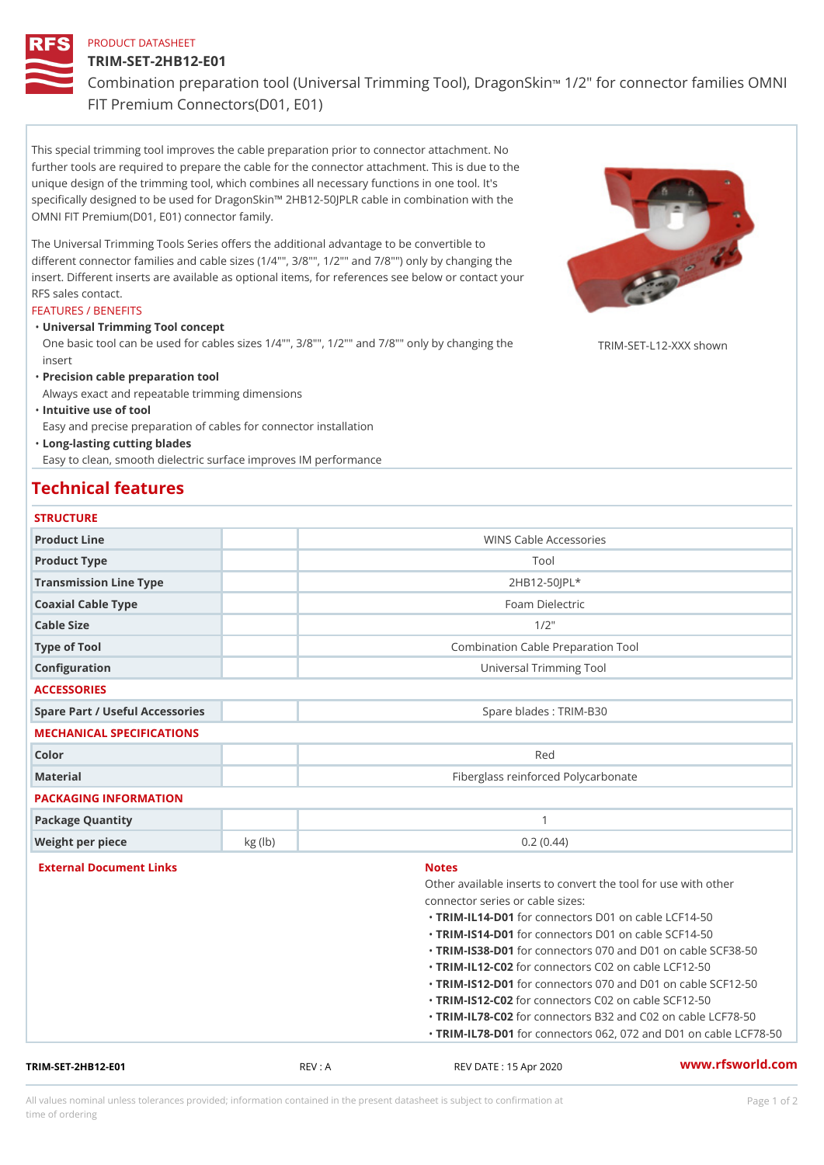### PRODUCT DATASHEET

## TRIM-SET-2HB12-E01

Combination preparation tool (Universal Trimming Tfoodle, oD on a goon'S kamili FIT Premium Connectors(D01, E01)

This special trimming tool improves the cable preparation prior to connector attachment. No further tools are required to prepare the cable for the connector attachment. This is due to the unique design of the trimming tool, which combines all necessary functions in one tool. It's specifically designed to be used for DragonSkin!" 2HB12-50JPLR cable in combination with the OMNI FIT Premium(D01, E01) connector family.

The Universal Trimming Tools Series offers the additional advantage to be convertible to different connector families and cable sizes (1/4"", 3/8"", 1/2"" and 7/8"") only by changing the insert. Different inserts are available as optional items, for references see below or contact your RFS sales contact.

#### FEATURES / BENEFITS

Universal Trimming Tool concept "

One basic tool can be used for cables sizes 1/4"", 3/8"", 1/2"" and 7/8†RpMlgppvcphangykng shown insert

"Precision cable preparation tool

Always exact and repeatable trimming dimensions

"Intuitive use of tool

Easy and precise preparation of cables for connector installation

Long-lasting cutting blades "

Easy to clean, smooth dielectric surface improves IM performance

### Technical features

| <b>STRUCTURE</b> |  |
|------------------|--|

| Product Line                    |        | WINS Cable Accessories                              |
|---------------------------------|--------|-----------------------------------------------------|
| Product Type                    |        | Tool                                                |
| Transmission Line Type          |        | $2H B12 - 50JPL*$                                   |
| Coaxial Cable Type              |        | Foam Dielectric                                     |
| Cable Size                      |        | $1/2$ "                                             |
| Type of Tool                    |        | Combination Cable Preparation Tool                  |
| Configuration                   |        | Universal Trimming Tool                             |
| <b>ACCESSORIES</b>              |        |                                                     |
| Spare Part / Useful Accessories |        | Spare blades : TRIM-B30                             |
| MECHANICAL SPECIFICATIONS       |        |                                                     |
| Color                           |        | Red                                                 |
| Material                        |        | Fiberglass reinforced Polycarbonate                 |
| PACKAGING INFORMATION           |        |                                                     |
| Package Quantity                |        | $\mathbf{1}$                                        |
| Weight per piece                | kg(lb) | 0.2(0.44)                                           |
| External Document Links         |        | <b>Notes</b>                                        |
|                                 |        | Other available inserts to convert the tool for use |
|                                 |        | connector series or cable sizes:                    |
|                                 |        | "TRIM-IL14-fDo01connectors D01 on cable LCF14-50    |
|                                 |        | "TRIM-IS14-fD01connectors D01 on cable SCF14-50     |
|                                 |        | "TRIM-IS38-fD01connectors 070 and D01 on cable S    |
|                                 |        | "TRIM-IL12-fC02connectors C02 on cable LCF12-50     |
|                                 |        | "TRIM-IS12-fD01connectors 070 and D01 on cable S    |
|                                 |        | "TRIM-IS12f602connectors C02 on cable SCF12-50      |
|                                 |        |                                                     |
|                                 |        | "TRIM-IL78-f@02connectors B32 and C02 on cable L    |

TRIM-SET-2HB12-E01 REV : A REV DATE : 15 Apr 2020 [www.](https://www.rfsworld.com)rfsworld.com

All values nominal unless tolerances provided; information contained in the present datasheet is subject to Pcapgeign manation time of ordering